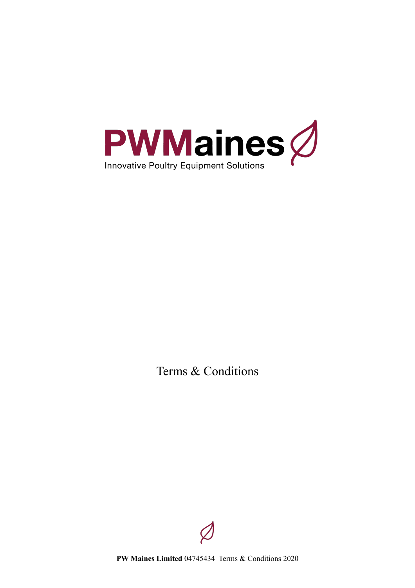

Terms & Conditions



**PW Maines Limited** 04745434 Terms & Conditions 2020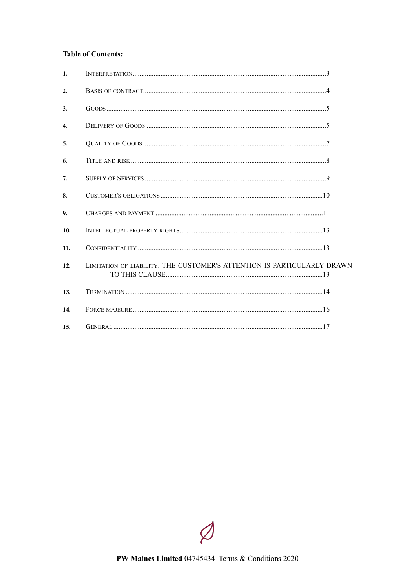# **Table of Contents:**

| $\mathbf{1}$ .   |                                                                         |  |
|------------------|-------------------------------------------------------------------------|--|
| 2.               |                                                                         |  |
| 3.               |                                                                         |  |
| $\overline{4}$ . |                                                                         |  |
| 5.               |                                                                         |  |
| 6.               |                                                                         |  |
| 7.               |                                                                         |  |
| 8.               |                                                                         |  |
| 9.               |                                                                         |  |
| 10.              |                                                                         |  |
| 11.              |                                                                         |  |
| 12.              | LIMITATION OF LIABILITY: THE CUSTOMER'S ATTENTION IS PARTICULARLY DRAWN |  |
| 13.              |                                                                         |  |
| 14.              |                                                                         |  |
| 15.              |                                                                         |  |

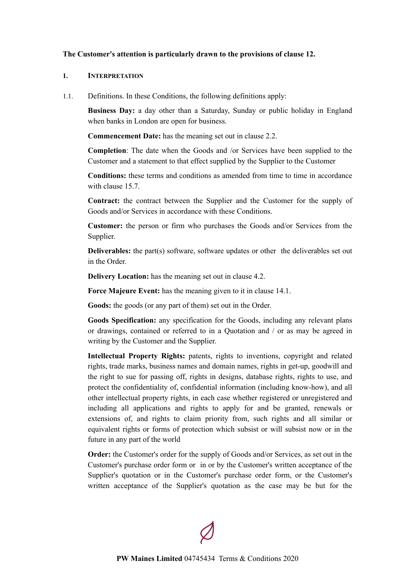### **The Customer's attention is particularly drawn to the provisions of clause [12](#page-12-2).**

#### <span id="page-2-0"></span>**1. INTERPRETATION**

1.1. Definitions. In these Conditions, the following definitions apply:

**Business Day:** a day other than a Saturday, Sunday or public holiday in England when banks in London are open for business.

**Commencement Date:** has the meaning set out in clause [2.2.](#page-3-1)

**Completion**: The date when the Goods and /or Services have been supplied to the Customer and a statement to that effect supplied by the Supplier to the Customer

**Conditions:** these terms and conditions as amended from time to time in accordance with clause 15.7

**Contract:** the contract between the Supplier and the Customer for the supply of Goods and/or Services in accordance with these Conditions.

**Customer:** the person or firm who purchases the Goods and/or Services from the Supplier.

**Deliverables:** the part(s) software, software updates or other the deliverables set out in the Order.

**Delivery Location:** has the meaning set out in clause [4.2.](#page-5-0)

**Force Majeure Event:** has the meaning given to it in clause [14.1.](#page-15-1)

**Goods:** the goods (or any part of them) set out in the Order.

**Goods Specification:** any specification for the Goods, including any relevant plans or drawings, contained or referred to in a Quotation and / or as may be agreed in writing by the Customer and the Supplier.

**Intellectual Property Rights:** patents, rights to inventions, copyright and related rights, trade marks, business names and domain names, rights in get-up, goodwill and the right to sue for passing off, rights in designs, database rights, rights to use, and protect the confidentiality of, confidential information (including know-how), and all other intellectual property rights, in each case whether registered or unregistered and including all applications and rights to apply for and be granted, renewals or extensions of, and rights to claim priority from, such rights and all similar or equivalent rights or forms of protection which subsist or will subsist now or in the future in any part of the world

**Order:** the Customer's order for the supply of Goods and/or Services, as set out in the Customer's purchase order form or in or by the Customer's written acceptance of the Supplier's quotation or in the Customer's purchase order form, or the Customer's written acceptance of the Supplier's quotation as the case may be but for the

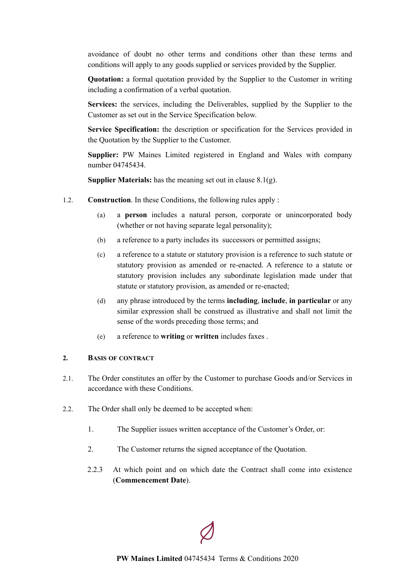avoidance of doubt no other terms and conditions other than these terms and conditions will apply to any goods supplied or services provided by the Supplier.

**Quotation:** a formal quotation provided by the Supplier to the Customer in writing including a confirmation of a verbal quotation.

**Services:** the services, including the Deliverables, supplied by the Supplier to the Customer as set out in the Service Specification below.

**Service Specification:** the description or specification for the Services provided in the Quotation by the Supplier to the Customer.

**Supplier:** PW Maines Limited registered in England and Wales with company number 04745434.

**Supplier Materials:** has the meaning set out in clause [8.1\(g\).](#page-9-1)

- 1.2. **Construction**. In these Conditions, the following rules apply :
	- (a) a **person** includes a natural person, corporate or unincorporated body (whether or not having separate legal personality);
	- (b) a reference to a party includes its successors or permitted assigns;
	- (c) a reference to a statute or statutory provision is a reference to such statute or statutory provision as amended or re-enacted. A reference to a statute or statutory provision includes any subordinate legislation made under that statute or statutory provision, as amended or re-enacted;
	- (d) any phrase introduced by the terms **including**, **include**, **in particular** or any similar expression shall be construed as illustrative and shall not limit the sense of the words preceding those terms; and
	- (e) a reference to **writing** or **written** includes faxes .

### <span id="page-3-0"></span>**2. BASIS OF CONTRACT**

- 2.1. The Order constitutes an offer by the Customer to purchase Goods and/or Services in accordance with these Conditions.
- <span id="page-3-1"></span>2.2. The Order shall only be deemed to be accepted when:
	- 1. The Supplier issues written acceptance of the Customer's Order, or:
	- 2. The Customer returns the signed acceptance of the Quotation.
	- 2.2.3 At which point and on which date the Contract shall come into existence (**Commencement Date**).

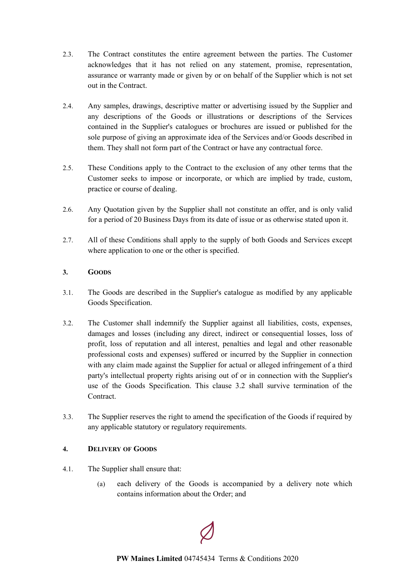- 2.3. The Contract constitutes the entire agreement between the parties. The Customer acknowledges that it has not relied on any statement, promise, representation, assurance or warranty made or given by or on behalf of the Supplier which is not set out in the Contract.
- 2.4. Any samples, drawings, descriptive matter or advertising issued by the Supplier and any descriptions of the Goods or illustrations or descriptions of the Services contained in the Supplier's catalogues or brochures are issued or published for the sole purpose of giving an approximate idea of the Services and/or Goods described in them. They shall not form part of the Contract or have any contractual force.
- 2.5. These Conditions apply to the Contract to the exclusion of any other terms that the Customer seeks to impose or incorporate, or which are implied by trade, custom, practice or course of dealing.
- 2.6. Any Quotation given by the Supplier shall not constitute an offer, and is only valid for a period of 20 Business Days from its date of issue or as otherwise stated upon it.
- 2.7. All of these Conditions shall apply to the supply of both Goods and Services except where application to one or the other is specified.

# <span id="page-4-0"></span>**3. GOODS**

- 3.1. The Goods are described in the Supplier's catalogue as modified by any applicable Goods Specification.
- <span id="page-4-2"></span>3.2. The Customer shall indemnify the Supplier against all liabilities, costs, expenses, damages and losses (including any direct, indirect or consequential losses, loss of profit, loss of reputation and all interest, penalties and legal and other reasonable professional costs and expenses) suffered or incurred by the Supplier in connection with any claim made against the Supplier for actual or alleged infringement of a third party's intellectual property rights arising out of or in connection with the Supplier's use of the Goods Specification. This clause [3.2](#page-4-2) shall survive termination of the **Contract**
- 3.3. The Supplier reserves the right to amend the specification of the Goods if required by any applicable statutory or regulatory requirements.

# <span id="page-4-1"></span>**4. DELIVERY OF GOODS**

- 4.1. The Supplier shall ensure that:
	- (a) each delivery of the Goods is accompanied by a delivery note which contains information about the Order; and

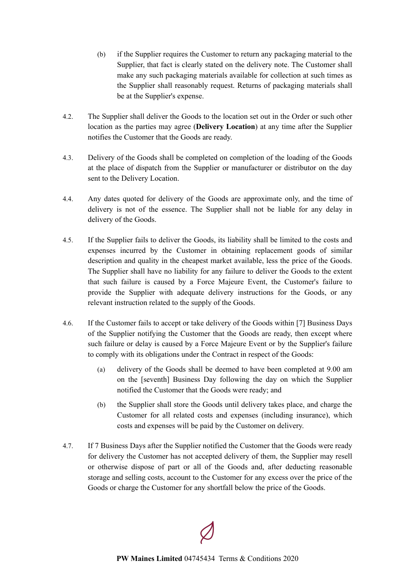- (b) if the Supplier requires the Customer to return any packaging material to the Supplier, that fact is clearly stated on the delivery note. The Customer shall make any such packaging materials available for collection at such times as the Supplier shall reasonably request. Returns of packaging materials shall be at the Supplier's expense.
- <span id="page-5-0"></span>4.2. The Supplier shall deliver the Goods to the location set out in the Order or such other location as the parties may agree (**Delivery Location**) at any time after the Supplier notifies the Customer that the Goods are ready.
- 4.3. Delivery of the Goods shall be completed on completion of the loading of the Goods at the place of dispatch from the Supplier or manufacturer or distributor on the day sent to the Delivery Location.
- 4.4. Any dates quoted for delivery of the Goods are approximate only, and the time of delivery is not of the essence. The Supplier shall not be liable for any delay in delivery of the Goods.
- 4.5. If the Supplier fails to deliver the Goods, its liability shall be limited to the costs and expenses incurred by the Customer in obtaining replacement goods of similar description and quality in the cheapest market available, less the price of the Goods. The Supplier shall have no liability for any failure to deliver the Goods to the extent that such failure is caused by a Force Majeure Event, the Customer's failure to provide the Supplier with adequate delivery instructions for the Goods, or any relevant instruction related to the supply of the Goods.
- 4.6. If the Customer fails to accept or take delivery of the Goods within [7] Business Days of the Supplier notifying the Customer that the Goods are ready, then except where such failure or delay is caused by a Force Majeure Event or by the Supplier's failure to comply with its obligations under the Contract in respect of the Goods:
	- (a) delivery of the Goods shall be deemed to have been completed at 9.00 am on the [seventh] Business Day following the day on which the Supplier notified the Customer that the Goods were ready; and
	- (b) the Supplier shall store the Goods until delivery takes place, and charge the Customer for all related costs and expenses (including insurance), which costs and expenses will be paid by the Customer on delivery.
- 4.7. If 7 Business Days after the Supplier notified the Customer that the Goods were ready for delivery the Customer has not accepted delivery of them, the Supplier may resell or otherwise dispose of part or all of the Goods and, after deducting reasonable storage and selling costs, account to the Customer for any excess over the price of the Goods or charge the Customer for any shortfall below the price of the Goods.

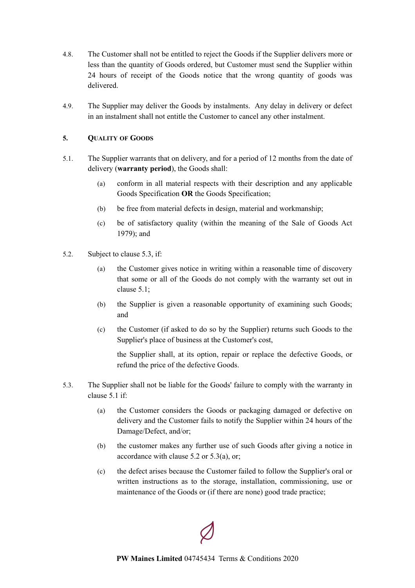- 4.8. The Customer shall not be entitled to reject the Goods if the Supplier delivers more or less than the quantity of Goods ordered, but Customer must send the Supplier within 24 hours of receipt of the Goods notice that the wrong quantity of goods was delivered.
- 4.9. The Supplier may deliver the Goods by instalments. Any delay in delivery or defect in an instalment shall not entitle the Customer to cancel any other instalment.

### <span id="page-6-0"></span>**5. QUALITY OF GOODS**

- <span id="page-6-1"></span>5.1. The Supplier warrants that on delivery, and for a period of 12 months from the date of delivery (**warranty period**), the Goods shall:
	- (a) conform in all material respects with their description and any applicable Goods Specification **OR** the Goods Specification;
	- (b) be free from material defects in design, material and workmanship;
	- (c) be of satisfactory quality (within the meaning of the Sale of Goods Act 1979); and
- <span id="page-6-2"></span>5.2. Subject to clause [5.3](#page-7-1), if:
	- (a) the Customer gives notice in writing within a reasonable time of discovery that some or all of the Goods do not comply with the warranty set out in clause [5.1;](#page-6-1)
	- (b) the Supplier is given a reasonable opportunity of examining such Goods; and
	- (c) the Customer (if asked to do so by the Supplier) returns such Goods to the Supplier's place of business at the Customer's cost,

the Supplier shall, at its option, repair or replace the defective Goods, or refund the price of the defective Goods.

- 5.3. The Supplier shall not be liable for the Goods' failure to comply with the warranty in clause [5.1](#page-6-1) if:
	- (a) the Customer considers the Goods or packaging damaged or defective on delivery and the Customer fails to notify the Supplier within 24 hours of the Damage/Defect, and/or;
	- (b) the customer makes any further use of such Goods after giving a notice in accordance with clause [5.2](#page-6-2) or 5.3(a), or;
	- (c) the defect arises because the Customer failed to follow the Supplier's oral or written instructions as to the storage, installation, commissioning, use or maintenance of the Goods or (if there are none) good trade practice;

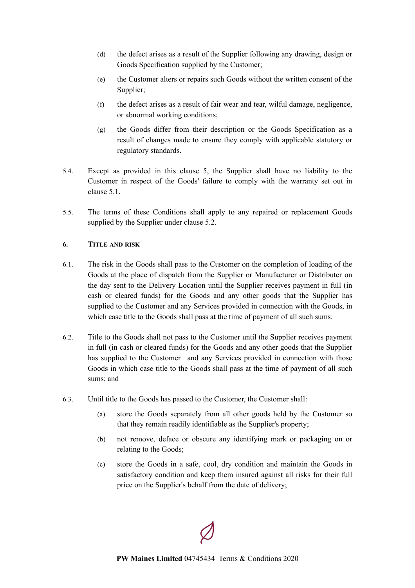- (d) the defect arises as a result of the Supplier following any drawing, design or Goods Specification supplied by the Customer;
- (e) the Customer alters or repairs such Goods without the written consent of the Supplier;
- (f) the defect arises as a result of fair wear and tear, wilful damage, negligence, or abnormal working conditions;
- (g) the Goods differ from their description or the Goods Specification as a result of changes made to ensure they comply with applicable statutory or regulatory standards.
- 5.4. Except as provided in this clause [5,](#page-6-0) the Supplier shall have no liability to the Customer in respect of the Goods' failure to comply with the warranty set out in clause [5.1.](#page-6-1)
- 5.5. The terms of these Conditions shall apply to any repaired or replacement Goods supplied by the Supplier under clause [5.2.](#page-6-2)

# <span id="page-7-0"></span>**6. TITLE AND RISK**

- 6.1. The risk in the Goods shall pass to the Customer on the completion of loading of the Goods at the place of dispatch from the Supplier or Manufacturer or Distributer on the day sent to the Delivery Location until the Supplier receives payment in full (in cash or cleared funds) for the Goods and any other goods that the Supplier has supplied to the Customer and any Services provided in connection with the Goods, in which case title to the Goods shall pass at the time of payment of all such sums.
- 6.2. Title to the Goods shall not pass to the Customer until the Supplier receives payment in full (in cash or cleared funds) for the Goods and any other goods that the Supplier has supplied to the Customer and any Services provided in connection with those Goods in which case title to the Goods shall pass at the time of payment of all such sums; and
- <span id="page-7-1"></span>6.3. Until title to the Goods has passed to the Customer, the Customer shall:
	- (a) store the Goods separately from all other goods held by the Customer so that they remain readily identifiable as the Supplier's property;
	- (b) not remove, deface or obscure any identifying mark or packaging on or relating to the Goods;
	- (c) store the Goods in a safe, cool, dry condition and maintain the Goods in satisfactory condition and keep them insured against all risks for their full price on the Supplier's behalf from the date of delivery;

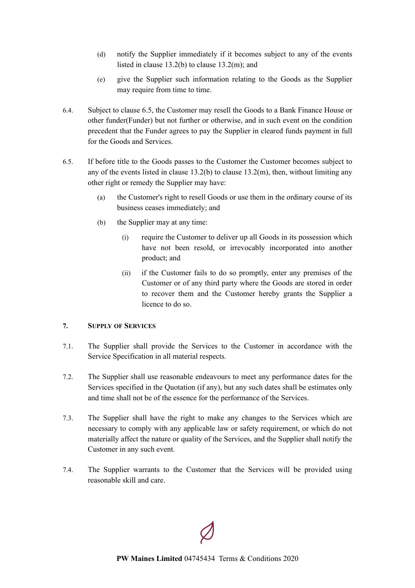- (d) notify the Supplier immediately if it becomes subject to any of the events listed in clause [13.2\(b\)](#page-13-1) to clause [13.2\(m\);](#page-14-0) and
- (e) give the Supplier such information relating to the Goods as the Supplier may require from time to time.
- 6.4. Subject to clause [6.5,](#page-8-1) the Customer may resell the Goods to a Bank Finance House or other funder(Funder) but not further or otherwise, and in such event on the condition precedent that the Funder agrees to pay the Supplier in cleared funds payment in full for the Goods and Services.
- <span id="page-8-1"></span>6.5. If before title to the Goods passes to the Customer the Customer becomes subject to any of the events listed in clause  $13.2(b)$  to clause  $13.2(m)$ , then, without limiting any other right or remedy the Supplier may have:
	- (a) the Customer's right to resell Goods or use them in the ordinary course of its business ceases immediately; and
	- (b) the Supplier may at any time:
		- (i) require the Customer to deliver up all Goods in its possession which have not been resold, or irrevocably incorporated into another product; and
		- (ii) if the Customer fails to do so promptly, enter any premises of the Customer or of any third party where the Goods are stored in order to recover them and the Customer hereby grants the Supplier a licence to do so.

# <span id="page-8-0"></span>**7. SUPPLY OF SERVICES**

- 7.1. The Supplier shall provide the Services to the Customer in accordance with the Service Specification in all material respects.
- 7.2. The Supplier shall use reasonable endeavours to meet any performance dates for the Services specified in the Quotation (if any), but any such dates shall be estimates only and time shall not be of the essence for the performance of the Services.
- 7.3. The Supplier shall have the right to make any changes to the Services which are necessary to comply with any applicable law or safety requirement, or which do not materially affect the nature or quality of the Services, and the Supplier shall notify the Customer in any such event.
- 7.4. The Supplier warrants to the Customer that the Services will be provided using reasonable skill and care.

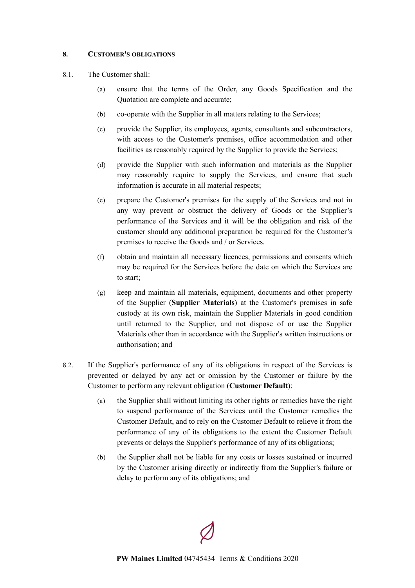### <span id="page-9-0"></span>**8. CUSTOMER'S OBLIGATIONS**

- 8.1. The Customer shall:
	- (a) ensure that the terms of the Order, any Goods Specification and the Quotation are complete and accurate;
	- (b) co-operate with the Supplier in all matters relating to the Services;
	- (c) provide the Supplier, its employees, agents, consultants and subcontractors, with access to the Customer's premises, office accommodation and other facilities as reasonably required by the Supplier to provide the Services;
	- (d) provide the Supplier with such information and materials as the Supplier may reasonably require to supply the Services, and ensure that such information is accurate in all material respects;
	- (e) prepare the Customer's premises for the supply of the Services and not in any way prevent or obstruct the delivery of Goods or the Supplier's performance of the Services and it will be the obligation and risk of the customer should any additional preparation be required for the Customer's premises to receive the Goods and / or Services.
	- (f) obtain and maintain all necessary licences, permissions and consents which may be required for the Services before the date on which the Services are to start;
	- (g) keep and maintain all materials, equipment, documents and other property of the Supplier (**Supplier Materials**) at the Customer's premises in safe custody at its own risk, maintain the Supplier Materials in good condition until returned to the Supplier, and not dispose of or use the Supplier Materials other than in accordance with the Supplier's written instructions or authorisation; and
- <span id="page-9-1"></span>8.2. If the Supplier's performance of any of its obligations in respect of the Services is prevented or delayed by any act or omission by the Customer or failure by the Customer to perform any relevant obligation (**Customer Default**):
	- (a) the Supplier shall without limiting its other rights or remedies have the right to suspend performance of the Services until the Customer remedies the Customer Default, and to rely on the Customer Default to relieve it from the performance of any of its obligations to the extent the Customer Default prevents or delays the Supplier's performance of any of its obligations;
	- (b) the Supplier shall not be liable for any costs or losses sustained or incurred by the Customer arising directly or indirectly from the Supplier's failure or delay to perform any of its obligations; and

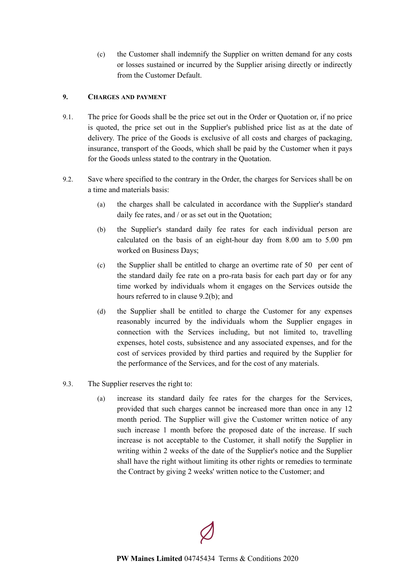(c) the Customer shall indemnify the Supplier on written demand for any costs or losses sustained or incurred by the Supplier arising directly or indirectly from the Customer Default.

# <span id="page-10-0"></span>**9. CHARGES AND PAYMENT**

- 9.1. The price for Goods shall be the price set out in the Order or Quotation or, if no price is quoted, the price set out in the Supplier's published price list as at the date of delivery. The price of the Goods is exclusive of all costs and charges of packaging, insurance, transport of the Goods, which shall be paid by the Customer when it pays for the Goods unless stated to the contrary in the Quotation.
- <span id="page-10-1"></span>9.2. Save where specified to the contrary in the Order, the charges for Services shall be on a time and materials basis:
	- (a) the charges shall be calculated in accordance with the Supplier's standard daily fee rates, and / or as set out in the Quotation;
	- (b) the Supplier's standard daily fee rates for each individual person are calculated on the basis of an eight-hour day from 8.00 am to 5.00 pm worked on Business Days;
	- (c) the Supplier shall be entitled to charge an overtime rate of 50 per cent of the standard daily fee rate on a pro-rata basis for each part day or for any time worked by individuals whom it engages on the Services outside the hours referred to in clause [9.2\(b\)](#page-10-1); and
	- (d) the Supplier shall be entitled to charge the Customer for any expenses reasonably incurred by the individuals whom the Supplier engages in connection with the Services including, but not limited to, travelling expenses, hotel costs, subsistence and any associated expenses, and for the cost of services provided by third parties and required by the Supplier for the performance of the Services, and for the cost of any materials.
- 9.3. The Supplier reserves the right to:
	- (a) increase its standard daily fee rates for the charges for the Services, provided that such charges cannot be increased more than once in any 12 month period. The Supplier will give the Customer written notice of any such increase 1 month before the proposed date of the increase. If such increase is not acceptable to the Customer, it shall notify the Supplier in writing within 2 weeks of the date of the Supplier's notice and the Supplier shall have the right without limiting its other rights or remedies to terminate the Contract by giving 2 weeks' written notice to the Customer; and

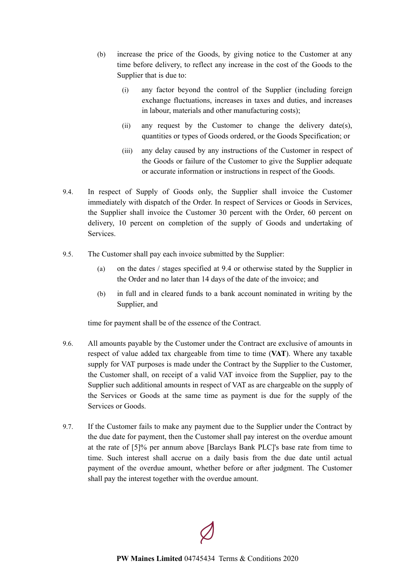- (b) increase the price of the Goods, by giving notice to the Customer at any time before delivery, to reflect any increase in the cost of the Goods to the Supplier that is due to:
	- (i) any factor beyond the control of the Supplier (including foreign exchange fluctuations, increases in taxes and duties, and increases in labour, materials and other manufacturing costs);
	- (ii) any request by the Customer to change the delivery date(s), quantities or types of Goods ordered, or the Goods Specification; or
	- (iii) any delay caused by any instructions of the Customer in respect of the Goods or failure of the Customer to give the Supplier adequate or accurate information or instructions in respect of the Goods.
- 9.4. In respect of Supply of Goods only, the Supplier shall invoice the Customer immediately with dispatch of the Order. In respect of Services or Goods in Services, the Supplier shall invoice the Customer 30 percent with the Order, 60 percent on delivery, 10 percent on completion of the supply of Goods and undertaking of Services.
- 9.5. The Customer shall pay each invoice submitted by the Supplier:
	- (a) on the dates / stages specified at 9.4 or otherwise stated by the Supplier in the Order and no later than 14 days of the date of the invoice; and
	- (b) in full and in cleared funds to a bank account nominated in writing by the Supplier, and

time for payment shall be of the essence of the Contract.

- 9.6. All amounts payable by the Customer under the Contract are exclusive of amounts in respect of value added tax chargeable from time to time (**VAT**). Where any taxable supply for VAT purposes is made under the Contract by the Supplier to the Customer, the Customer shall, on receipt of a valid VAT invoice from the Supplier, pay to the Supplier such additional amounts in respect of VAT as are chargeable on the supply of the Services or Goods at the same time as payment is due for the supply of the Services or Goods.
- 9.7. If the Customer fails to make any payment due to the Supplier under the Contract by the due date for payment, then the Customer shall pay interest on the overdue amount at the rate of [5]% per annum above [Barclays Bank PLC]'s base rate from time to time. Such interest shall accrue on a daily basis from the due date until actual payment of the overdue amount, whether before or after judgment. The Customer shall pay the interest together with the overdue amount.

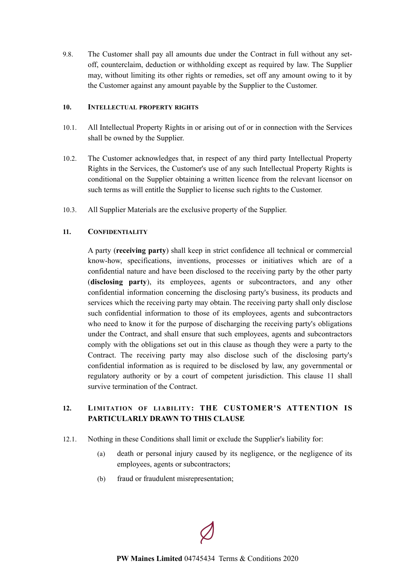9.8. The Customer shall pay all amounts due under the Contract in full without any setoff, counterclaim, deduction or withholding except as required by law. The Supplier may, without limiting its other rights or remedies, set off any amount owing to it by the Customer against any amount payable by the Supplier to the Customer.

### <span id="page-12-0"></span>**10. INTELLECTUAL PROPERTY RIGHTS**

- 10.1. All Intellectual Property Rights in or arising out of or in connection with the Services shall be owned by the Supplier.
- 10.2. The Customer acknowledges that, in respect of any third party Intellectual Property Rights in the Services, the Customer's use of any such Intellectual Property Rights is conditional on the Supplier obtaining a written licence from the relevant licensor on such terms as will entitle the Supplier to license such rights to the Customer.
- 10.3. All Supplier Materials are the exclusive property of the Supplier.

# **11. CONFIDENTIALITY**

<span id="page-12-1"></span>A party (**receiving party**) shall keep in strict confidence all technical or commercial know-how, specifications, inventions, processes or initiatives which are of a confidential nature and have been disclosed to the receiving party by the other party (**disclosing party**), its employees, agents or subcontractors, and any other confidential information concerning the disclosing party's business, its products and services which the receiving party may obtain. The receiving party shall only disclose such confidential information to those of its employees, agents and subcontractors who need to know it for the purpose of discharging the receiving party's obligations under the Contract, and shall ensure that such employees, agents and subcontractors comply with the obligations set out in this clause as though they were a party to the Contract. The receiving party may also disclose such of the disclosing party's confidential information as is required to be disclosed by law, any governmental or regulatory authority or by a court of competent jurisdiction. This clause [11](#page-12-1) shall survive termination of the Contract.

# <span id="page-12-2"></span>**12. LIMITATION OF LIABILITY: THE CUSTOMER'S ATTENTION IS PARTICULARLY DRAWN TO THIS CLAUSE**

- <span id="page-12-3"></span>12.1. Nothing in these Conditions shall limit or exclude the Supplier's liability for:
	- (a) death or personal injury caused by its negligence, or the negligence of its employees, agents or subcontractors;
	- (b) fraud or fraudulent misrepresentation;

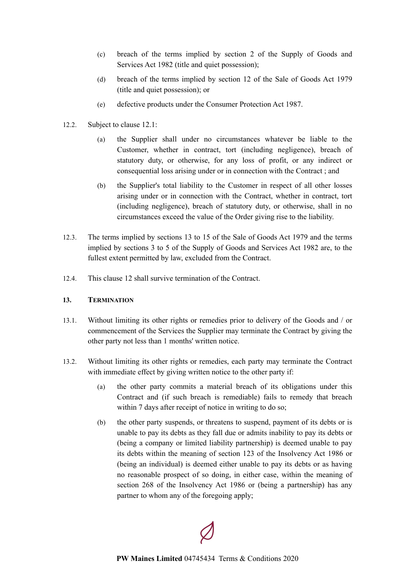- (c) breach of the terms implied by section 2 of the Supply of Goods and Services Act 1982 (title and quiet possession);
- (d) breach of the terms implied by section 12 of the Sale of Goods Act 1979 (title and quiet possession); or
- (e) defective products under the Consumer Protection Act 1987.
- 12.2. Subject to clause [12.1:](#page-12-3)
	- (a) the Supplier shall under no circumstances whatever be liable to the Customer, whether in contract, tort (including negligence), breach of statutory duty, or otherwise, for any loss of profit, or any indirect or consequential loss arising under or in connection with the Contract ; and
	- (b) the Supplier's total liability to the Customer in respect of all other losses arising under or in connection with the Contract, whether in contract, tort (including negligence), breach of statutory duty, or otherwise, shall in no circumstances exceed the value of the Order giving rise to the liability.
- 12.3. The terms implied by sections 13 to 15 of the Sale of Goods Act 1979 and the terms implied by sections 3 to 5 of the Supply of Goods and Services Act 1982 are, to the fullest extent permitted by law, excluded from the Contract.
- 12.4. This clause [12](#page-12-2) shall survive termination of the Contract.

# <span id="page-13-0"></span>**13. TERMINATION**

- 13.1. Without limiting its other rights or remedies prior to delivery of the Goods and / or commencement of the Services the Supplier may terminate the Contract by giving the other party not less than 1 months' written notice.
- <span id="page-13-1"></span>13.2. Without limiting its other rights or remedies, each party may terminate the Contract with immediate effect by giving written notice to the other party if:
	- (a) the other party commits a material breach of its obligations under this Contract and (if such breach is remediable) fails to remedy that breach within 7 days after receipt of notice in writing to do so;
	- (b) the other party suspends, or threatens to suspend, payment of its debts or is unable to pay its debts as they fall due or admits inability to pay its debts or (being a company or limited liability partnership) is deemed unable to pay its debts within the meaning of section 123 of the Insolvency Act 1986 or (being an individual) is deemed either unable to pay its debts or as having no reasonable prospect of so doing, in either case, within the meaning of section 268 of the Insolvency Act 1986 or (being a partnership) has any partner to whom any of the foregoing apply;

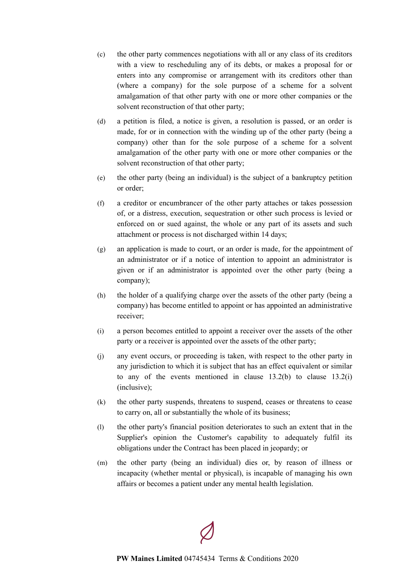- (c) the other party commences negotiations with all or any class of its creditors with a view to rescheduling any of its debts, or makes a proposal for or enters into any compromise or arrangement with its creditors other than (where a company) for the sole purpose of a scheme for a solvent amalgamation of that other party with one or more other companies or the solvent reconstruction of that other party;
- (d) a petition is filed, a notice is given, a resolution is passed, or an order is made, for or in connection with the winding up of the other party (being a company) other than for the sole purpose of a scheme for a solvent amalgamation of the other party with one or more other companies or the solvent reconstruction of that other party;
- (e) the other party (being an individual) is the subject of a bankruptcy petition or order;
- (f) a creditor or encumbrancer of the other party attaches or takes possession of, or a distress, execution, sequestration or other such process is levied or enforced on or sued against, the whole or any part of its assets and such attachment or process is not discharged within 14 days;
- (g) an application is made to court, or an order is made, for the appointment of an administrator or if a notice of intention to appoint an administrator is given or if an administrator is appointed over the other party (being a company);
- (h) the holder of a qualifying charge over the assets of the other party (being a company) has become entitled to appoint or has appointed an administrative receiver;
- <span id="page-14-1"></span>(i) a person becomes entitled to appoint a receiver over the assets of the other party or a receiver is appointed over the assets of the other party;
- (j) any event occurs, or proceeding is taken, with respect to the other party in any jurisdiction to which it is subject that has an effect equivalent or similar to any of the events mentioned in clause  $13.2(b)$  to clause  $13.2(i)$ (inclusive);
- (k) the other party suspends, threatens to suspend, ceases or threatens to cease to carry on, all or substantially the whole of its business;
- (l) the other party's financial position deteriorates to such an extent that in the Supplier's opinion the Customer's capability to adequately fulfil its obligations under the Contract has been placed in jeopardy; or
- <span id="page-14-0"></span>(m) the other party (being an individual) dies or, by reason of illness or incapacity (whether mental or physical), is incapable of managing his own affairs or becomes a patient under any mental health legislation.

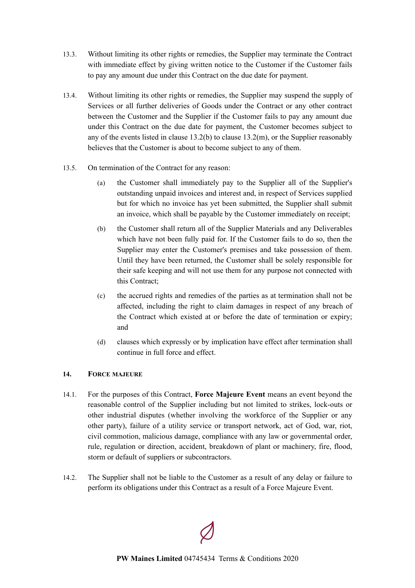- 13.3. Without limiting its other rights or remedies, the Supplier may terminate the Contract with immediate effect by giving written notice to the Customer if the Customer fails to pay any amount due under this Contract on the due date for payment.
- 13.4. Without limiting its other rights or remedies, the Supplier may suspend the supply of Services or all further deliveries of Goods under the Contract or any other contract between the Customer and the Supplier if the Customer fails to pay any amount due under this Contract on the due date for payment, the Customer becomes subject to any of the events listed in clause  $13.2(b)$  to clause  $13.2(m)$ , or the Supplier reasonably believes that the Customer is about to become subject to any of them.
- 13.5. On termination of the Contract for any reason:
	- (a) the Customer shall immediately pay to the Supplier all of the Supplier's outstanding unpaid invoices and interest and, in respect of Services supplied but for which no invoice has yet been submitted, the Supplier shall submit an invoice, which shall be payable by the Customer immediately on receipt;
	- (b) the Customer shall return all of the Supplier Materials and any Deliverables which have not been fully paid for. If the Customer fails to do so, then the Supplier may enter the Customer's premises and take possession of them. Until they have been returned, the Customer shall be solely responsible for their safe keeping and will not use them for any purpose not connected with this Contract;
	- (c) the accrued rights and remedies of the parties as at termination shall not be affected, including the right to claim damages in respect of any breach of the Contract which existed at or before the date of termination or expiry; and
	- (d) clauses which expressly or by implication have effect after termination shall continue in full force and effect.

# <span id="page-15-0"></span>**14. FORCE MAJEURE**

- <span id="page-15-1"></span>14.1. For the purposes of this Contract, **Force Majeure Event** means an event beyond the reasonable control of the Supplier including but not limited to strikes, lock-outs or other industrial disputes (whether involving the workforce of the Supplier or any other party), failure of a utility service or transport network, act of God, war, riot, civil commotion, malicious damage, compliance with any law or governmental order, rule, regulation or direction, accident, breakdown of plant or machinery, fire, flood, storm or default of suppliers or subcontractors.
- 14.2. The Supplier shall not be liable to the Customer as a result of any delay or failure to perform its obligations under this Contract as a result of a Force Majeure Event.

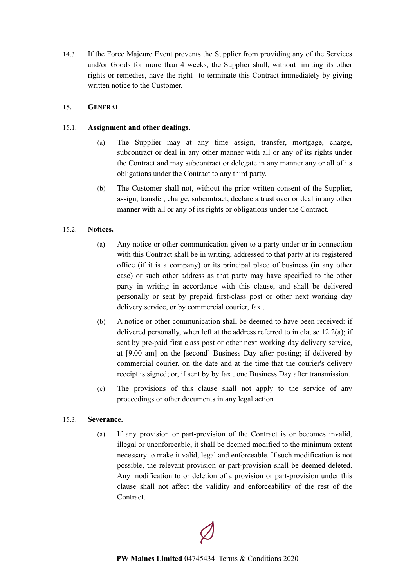14.3. If the Force Majeure Event prevents the Supplier from providing any of the Services and/or Goods for more than 4 weeks, the Supplier shall, without limiting its other rights or remedies, have the right to terminate this Contract immediately by giving written notice to the Customer.

### <span id="page-16-0"></span>**15. GENERAL**

### 15.1. **Assignment and other dealings.**

- (a) The Supplier may at any time assign, transfer, mortgage, charge, subcontract or deal in any other manner with all or any of its rights under the Contract and may subcontract or delegate in any manner any or all of its obligations under the Contract to any third party.
- (b) The Customer shall not, without the prior written consent of the Supplier, assign, transfer, charge, subcontract, declare a trust over or deal in any other manner with all or any of its rights or obligations under the Contract.

# 15.2. **Notices.**

- (a) Any notice or other communication given to a party under or in connection with this Contract shall be in writing, addressed to that party at its registered office (if it is a company) or its principal place of business (in any other case) or such other address as that party may have specified to the other party in writing in accordance with this clause, and shall be delivered personally or sent by prepaid first-class post or other next working day delivery service, or by commercial courier, fax .
- (b) A notice or other communication shall be deemed to have been received: if delivered personally, when left at the address referred to in clause 12.2(a); if sent by pre-paid first class post or other next working day delivery service, at [9.00 am] on the [second] Business Day after posting; if delivered by commercial courier, on the date and at the time that the courier's delivery receipt is signed; or, if sent by by fax , one Business Day after transmission.
- (c) The provisions of this clause shall not apply to the service of any proceedings or other documents in any legal action

#### 15.3. **Severance.**

(a) If any provision or part-provision of the Contract is or becomes invalid, illegal or unenforceable, it shall be deemed modified to the minimum extent necessary to make it valid, legal and enforceable. If such modification is not possible, the relevant provision or part-provision shall be deemed deleted. Any modification to or deletion of a provision or part-provision under this clause shall not affect the validity and enforceability of the rest of the Contract.